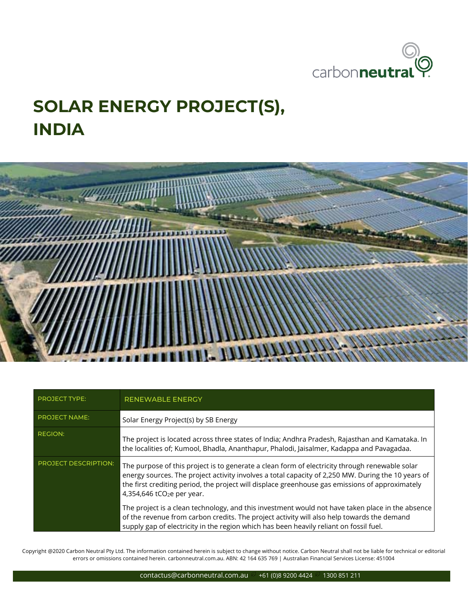

## **SOLAR ENERGY PROJECT(S), INDIA**



| <b>PROJECT TYPE:</b>        | <b>RENEWABLE ENERGY</b>                                                                                                                                                                                                                                                                                                                           |
|-----------------------------|---------------------------------------------------------------------------------------------------------------------------------------------------------------------------------------------------------------------------------------------------------------------------------------------------------------------------------------------------|
| <b>PROJECT NAME:</b>        | Solar Energy Project(s) by SB Energy                                                                                                                                                                                                                                                                                                              |
| <b>REGION:</b>              | The project is located across three states of India; Andhra Pradesh, Rajasthan and Kamataka. In<br>the localities of; Kumool, Bhadla, Ananthapur, Phalodi, Jaisalmer, Kadappa and Pavagadaa.                                                                                                                                                      |
| <b>PROJECT DESCRIPTION:</b> | The purpose of this project is to generate a clean form of electricity through renewable solar<br>energy sources. The project activity involves a total capacity of 2,250 MW. During the 10 years of<br>the first crediting period, the project will displace greenhouse gas emissions of approximately<br>4,354,646 tCO <sub>2</sub> e per year. |
|                             | The project is a clean technology, and this investment would not have taken place in the absence<br>of the revenue from carbon credits. The project activity will also help towards the demand<br>supply gap of electricity in the region which has been heavily reliant on fossil fuel.                                                          |

Copyright @2020 Carbon Neutral Pty Ltd. The information contained herein is subject to change without notice. Carbon Neutral shall not be liable for technical or editorial errors or omissions contained herein. carbonneutral.com.au. ABN: 42 164 635 769 | Australian Financial Services License: 451004